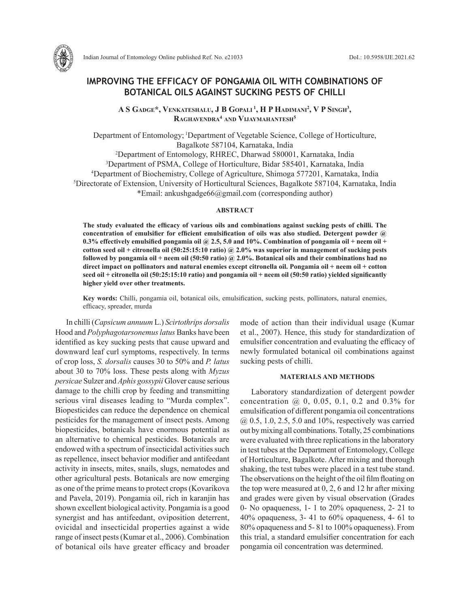

Indian Journal of Entomology Online published Ref. No. e21033 DoI.: 10.5958/IJE.2021.62

# **IMPROVING THE EFFICACY OF PONGAMIA OIL WITH COMBINATIONS OF BOTANICAL OILS AGAINST SUCKING PESTS OF CHILLI**

 $\mathbf{A} \mathbf{S}$  Gadge\*, Venkateshalu, J  $\mathbf{B}$  Gopali<sup>1</sup>, H P Hadimani<sup>2</sup>, V P Singh<sup>3</sup>, **Raghavendra4 and Vijaymahantesh5**

Department of Entomology; 1Department of Vegetable Science, College of Horticulture, Bagalkote 587104, Karnataka, India 2 Department of Entomology, RHREC, Dharwad 580001, Karnataka, India 3 Department of PSMA, College of Horticulture, Bidar 585401, Karnataka, India 4 Department of Biochemistry, College of Agriculture, Shimoga 577201, Karnataka, India 5 Directorate of Extension, University of Horticultural Sciences, Bagalkote 587104, Karnataka, India \*Email: ankushgadge66@gmail.com (corresponding author)

## **ABSTRACT**

**The study evaluated the efficacy of various oils and combinations against sucking pests of chilli. The concentration of emulsifier for efficient emulsification of oils was also studied. Detergent powder @**  0.3% effectively emulsified pongamia oil  $\omega$  2.5, 5.0 and 10%. Combination of pongamia oil + neem oil + **cotton seed oil + citronella oil (50:25:15:10 ratio) @ 2.0% was superior in management of sucking pests followed by pongamia oil + neem oil (50:50 ratio) @ 2.0%. Botanical oils and their combinations had no direct impact on pollinators and natural enemies except citronella oil. Pongamia oil + neem oil + cotton seed oil + citronella oil (50:25:15:10 ratio) and pongamia oil + neem oil (50:50 ratio) yielded significantly higher yield over other treatments.**

**Key words:** Chilli, pongamia oil, botanical oils, emulsification, sucking pests, pollinators, natural enemies, efficacy, spreader, murda

In chilli (*Capsicum annuum* L.) *Scirtothrips dorsalis* Hood and *Polyphagotarsonemus latus* Banks have been identified as key sucking pests that cause upward and downward leaf curl symptoms, respectively. In terms of crop loss, *S. dorsalis* causes 30 to 50% and *P. latus* about 30 to 70% loss. These pests along with *Myzus persicae* Sulzer and *Aphis gossypii* Glover cause serious damage to the chilli crop by feeding and transmitting serious viral diseases leading to "Murda complex". Biopesticides can reduce the dependence on chemical pesticides for the management of insect pests. Among biopesticides, botanicals have enormous potential as an alternative to chemical pesticides. Botanicals are endowed with a spectrum of insecticidal activities such as repellence, insect behavior modifier and antifeedant activity in insects, mites, snails, slugs, nematodes and other agricultural pests. Botanicals are now emerging as one of the prime means to protect crops (Kovarikova and Pavela, 2019). Pongamia oil, rich in karanjin has shown excellent biological activity. Pongamia is a good synergist and has antifeedant, oviposition deterrent, ovicidal and insecticidal properties against a wide range of insect pests (Kumar et al., 2006). Combination of botanical oils have greater efficacy and broader mode of action than their individual usage (Kumar et al., 2007). Hence, this study for standardization of emulsifier concentration and evaluating the efficacy of newly formulated botanical oil combinations against sucking pests of chilli.

### **MATERIALS AND METHODS**

Laboratory standardization of detergent powder concentration  $(2, 0, 0.05, 0.1, 0.2, 0.3\%$  for emulsification of different pongamia oil concentrations @ 0.5, 1.0, 2.5, 5.0 and 10%, respectively was carried out by mixing all combinations. Totally, 25 combinations were evaluated with three replications in the laboratory in test tubes at the Department of Entomology, College of Horticulture, Bagalkote. After mixing and thorough shaking, the test tubes were placed in a test tube stand. The observations on the height of the oil film floating on the top were measured at 0, 2, 6 and 12 hr after mixing and grades were given by visual observation (Grades 0- No opaqueness, 1- 1 to 20% opaqueness, 2- 21 to 40% opaqueness, 3- 41 to 60% opaqueness, 4- 61 to 80% opaqueness and 5- 81 to 100% opaqueness). From this trial, a standard emulsifier concentration for each pongamia oil concentration was determined.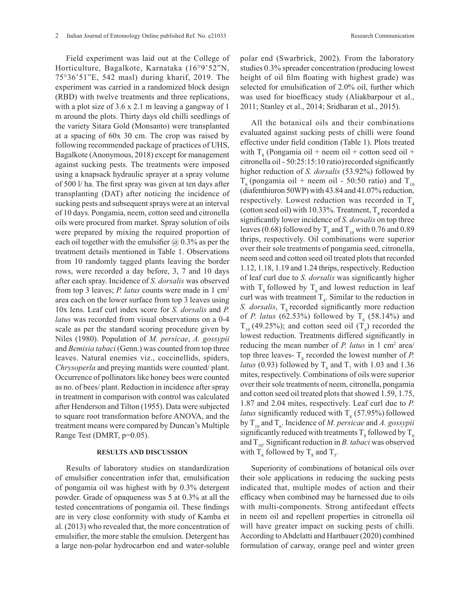Field experiment was laid out at the College of Horticulture, Bagalkote, Karnataka (16°9'52"N, 75°36'51"E, 542 masl) during kharif, 2019. The experiment was carried in a randomized block design (RBD) with twelve treatments and three replications, with a plot size of 3.6 x 2.1 m leaving a gangway of 1 m around the plots. Thirty days old chilli seedlings of the variety Sitara Gold (Monsanto) were transplanted at a spacing of 60x 30 cm. The crop was raised by following recommended package of practices of UHS, Bagalkote (Anonymous, 2018) except for management against sucking pests. The treatments were imposed using a knapsack hydraulic sprayer at a spray volume of 500 l/ ha. The first spray was given at ten days after transplanting (DAT) after noticing the incidence of sucking pests and subsequent sprays were at an interval of 10 days. Pongamia, neem, cotton seed and citronella oils were procured from market. Spray solution of oils were prepared by mixing the required proportion of each oil together with the emulsifier  $\omega$  0.3% as per the treatment details mentioned in Table 1. Observations from 10 randomly tagged plants leaving the border rows, were recorded a day before, 3, 7 and 10 days after each spray. Incidence of *S. dorsalis* was observed from top 3 leaves; *P. latus* counts were made in 1 cm2 area each on the lower surface from top 3 leaves using 10x lens. Leaf curl index score for *S. dorsalis* and *P. latus* was recorded from visual observations on a 0-4 scale as per the standard scoring procedure given by Niles (1980). Population of *M. persicae*, *A. gossypii* and *Bemisia tabaci* (Genn.) was counted from top three leaves. Natural enemies viz., coccinellids, spiders, *Chrysoperla* and preying mantids were counted/ plant. Occurrence of pollinators like honey bees were counted as no. of bees/ plant. Reduction in incidence after spray in treatment in comparison with control was calculated after Henderson and Tilton (1955). Data were subjected to square root transformation before ANOVA, and the treatment means were compared by Duncan's Multiple Range Test (DMRT, p=0.05).

## **RESULTS AND DISCUSSION**

Results of laboratory studies on standardization of emulsifier concentration infer that, emulsification of pongamia oil was highest with by 0.3% detergent powder. Grade of opaqueness was 5 at 0.3% at all the tested concentrations of pongamia oil. These findings are in very close conformity with study of Kamba et al. (2013) who revealed that, the more concentration of emulsifier, the more stable the emulsion. Detergent has a large non-polar hydrocarbon end and water-soluble polar end (Swarbrick, 2002). From the laboratory studies 0.3% spreader concentration (producing lowest height of oil film floating with highest grade) was selected for emulsification of 2.0% oil, further which was used for bioefficacy study (Aliakbarpour et al., 2011; Stanley et al., 2014; Sridharan et al., 2015).

All the botanical oils and their combinations evaluated against sucking pests of chilli were found effective under field condition (Table 1). Plots treated with  $T_8$  (Pongamia oil + neem oil + cotton seed oil + citronella oil - 50:25:15:10 ratio)recorded significantly higher reduction of *S. dorsalis* (53.92%) followed by  $T<sub>6</sub>$  (pongamia oil + neem oil - 50:50 ratio) and  $T<sub>10</sub>$ (diafenthiuron 50WP) with 43.84 and 41.07% reduction, respectively. Lowest reduction was recorded in  $T<sub>4</sub>$ (cotton seed oil) with 10.33%. Treatment,  $T_{\rm g}$  recorded a significantly lower incidence of *S. dorsalis* on top three leaves (0.68) followed by  $T_6$  and  $T_{10}$  with 0.76 and 0.89 thrips, respectively. Oil combinations were superior over their sole treatments of pongamia seed, citronella, neem seed and cotton seed oil treated plots that recorded 1.12, 1.18, 1.19 and 1.24 thrips, respectively. Reduction of leaf curl due to *S. dorsalis* was significantly higher with  $T<sub>8</sub>$  followed by  $T<sub>6</sub>$  and lowest reduction in leaf curl was with treatment  $T<sub>4</sub>$ . Similar to the reduction in *S. dorsalis*, T<sub>s</sub> recorded significantly more reduction of *P. latus* (62.53%) followed by  $T_6$  (58.14%) and  $T_{10}$  (49.25%); and cotton seed oil  $(T_4)$  recorded the lowest reduction. Treatments differed significantly in reducing the mean number of *P. latus* in 1 cm<sup>2</sup> area/ top three leaves-  $T_s$  recorded the lowest number of *P*. *latus* (0.93) followed by  $T_6$  and  $T_7$  with 1.03 and 1.36 mites, respectively. Combinations of oils were superior over their sole treatments of neem, citronella, pongamia and cotton seed oil treated plots that showed 1.59, 1.75, 1.87 and 2.04 mites, respectively. Leaf curl due to *P. latus* significantly reduced with  $T_8$  (57.95%) followed by T<sub>10</sub> and T<sub>6</sub>. Incidence of *M. persicae* and *A. gossypii* significantly reduced with treatments  $T_s$  followed by  $T_6$ and  $T_{10}$ . Significant reduction in *B. tabaci* was observed with  $T_6$  followed by  $T_8$  and  $T_5$ .

Superiority of combinations of botanical oils over their sole applications in reducing the sucking pests indicated that, multiple modes of action and their efficacy when combined may be harnessed due to oils with multi-components. Strong antifeedant effects in neem oil and repellent properties in citronella oil will have greater impact on sucking pests of chilli. According to Abdelatti and Hartbauer (2020) combined formulation of carway, orange peel and winter green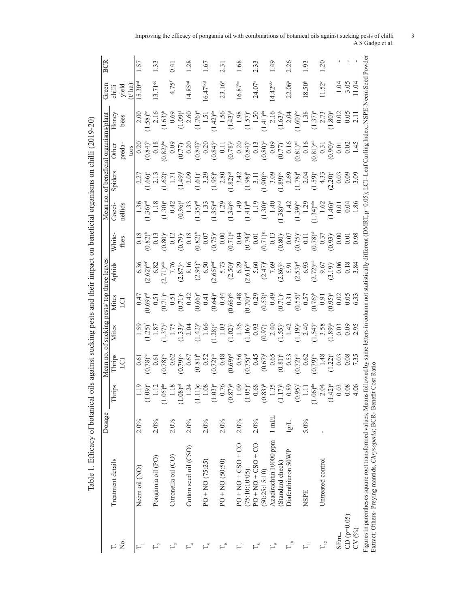|                | l                                                                                             |
|----------------|-----------------------------------------------------------------------------------------------|
|                |                                                                                               |
|                |                                                                                               |
|                | l                                                                                             |
|                | $\overline{a}$<br>l                                                                           |
|                |                                                                                               |
|                |                                                                                               |
|                |                                                                                               |
|                |                                                                                               |
|                |                                                                                               |
|                |                                                                                               |
|                |                                                                                               |
|                | i                                                                                             |
|                |                                                                                               |
|                |                                                                                               |
|                |                                                                                               |
|                |                                                                                               |
|                |                                                                                               |
|                |                                                                                               |
|                | l                                                                                             |
|                |                                                                                               |
|                |                                                                                               |
|                | ֦֖֖֖֖֖֧ׅׅׅ֪ׅ֪֪֧֪ׅ֪֪֪֧֪ׅ֚֚֚֚֚֚֚֚֚֚֚֚֚֚֚֚֚֚֚֚֚֚֚֕֓֕֝֝֬֓֝֬֝֬֝֬֝֬֝֬֓֬֝֬֝֬֝֬֝֬֓֬֝֬֝֬֝֬֝֬֓֬֝֬֝֬֝֬֝֬ |
|                |                                                                                               |
|                |                                                                                               |
|                |                                                                                               |
|                |                                                                                               |
|                | j                                                                                             |
|                |                                                                                               |
|                |                                                                                               |
|                |                                                                                               |
|                |                                                                                               |
|                |                                                                                               |
|                | j                                                                                             |
|                |                                                                                               |
|                | I                                                                                             |
|                |                                                                                               |
|                |                                                                                               |
|                | ١                                                                                             |
|                |                                                                                               |
|                |                                                                                               |
|                |                                                                                               |
|                |                                                                                               |
|                | ة<br>با                                                                                       |
|                |                                                                                               |
|                |                                                                                               |
|                |                                                                                               |
|                |                                                                                               |
|                |                                                                                               |
|                |                                                                                               |
|                | J                                                                                             |
|                |                                                                                               |
|                |                                                                                               |
|                |                                                                                               |
|                |                                                                                               |
|                | <b>11 - 11 - 11 - 11 - 11</b>                                                                 |
|                |                                                                                               |
|                |                                                                                               |
|                |                                                                                               |
|                | l                                                                                             |
|                |                                                                                               |
|                |                                                                                               |
|                |                                                                                               |
| l              |                                                                                               |
|                |                                                                                               |
|                |                                                                                               |
|                | ፡                                                                                             |
|                |                                                                                               |
|                |                                                                                               |
|                |                                                                                               |
|                |                                                                                               |
|                |                                                                                               |
| é              |                                                                                               |
|                |                                                                                               |
|                |                                                                                               |
|                |                                                                                               |
|                | ċ                                                                                             |
|                |                                                                                               |
|                |                                                                                               |
| ٤              |                                                                                               |
| $\overline{a}$ | $\frac{1}{2}$<br>I                                                                            |
|                |                                                                                               |
|                | Í<br>l,                                                                                       |
|                |                                                                                               |
|                |                                                                                               |
|                | Table                                                                                         |

|                     |                                                                                                                                       | Dosage          |                                                                                                                                                                                                                                                                                             | Mean no. | of sucking | pests/ top three leaves |                                                                                                                                                                                                                                                                                                                                                     |                                                                                                                                                                                                                                                                                                               | no.<br>Mean                                                                                                                                                                                                                                                                                                                                                                                      |                                                                                                                                                                                                                                | of beneficial organisms/plant                                                                                                                                                                                                                                                                                                                                                                                       |                                                                                                                                                                                                                                                                                  | Free                   | BCR     |
|---------------------|---------------------------------------------------------------------------------------------------------------------------------------|-----------------|---------------------------------------------------------------------------------------------------------------------------------------------------------------------------------------------------------------------------------------------------------------------------------------------|----------|------------|-------------------------|-----------------------------------------------------------------------------------------------------------------------------------------------------------------------------------------------------------------------------------------------------------------------------------------------------------------------------------------------------|---------------------------------------------------------------------------------------------------------------------------------------------------------------------------------------------------------------------------------------------------------------------------------------------------------------|--------------------------------------------------------------------------------------------------------------------------------------------------------------------------------------------------------------------------------------------------------------------------------------------------------------------------------------------------------------------------------------------------|--------------------------------------------------------------------------------------------------------------------------------------------------------------------------------------------------------------------------------|---------------------------------------------------------------------------------------------------------------------------------------------------------------------------------------------------------------------------------------------------------------------------------------------------------------------------------------------------------------------------------------------------------------------|----------------------------------------------------------------------------------------------------------------------------------------------------------------------------------------------------------------------------------------------------------------------------------|------------------------|---------|
|                     | Treatment details                                                                                                                     |                 | <u>ining</u><br>Н                                                                                                                                                                                                                                                                           | Thrips   | Mites      | Mites                   | Aphids                                                                                                                                                                                                                                                                                                                                              | White.                                                                                                                                                                                                                                                                                                        | Cocci                                                                                                                                                                                                                                                                                                                                                                                            | Spider                                                                                                                                                                                                                         | Other                                                                                                                                                                                                                                                                                                                                                                                                               | Honey                                                                                                                                                                                                                                                                            | $\frac{1}{2}$          |         |
| Σó,                 |                                                                                                                                       |                 |                                                                                                                                                                                                                                                                                             | IJ       |            | g                       |                                                                                                                                                                                                                                                                                                                                                     | flies                                                                                                                                                                                                                                                                                                         | aellids                                                                                                                                                                                                                                                                                                                                                                                          |                                                                                                                                                                                                                                |                                                                                                                                                                                                                                                                                                                                                                                                                     | bees                                                                                                                                                                                                                                                                             | yield<br>$t$ ha)       |         |
|                     |                                                                                                                                       |                 |                                                                                                                                                                                                                                                                                             |          |            |                         |                                                                                                                                                                                                                                                                                                                                                     |                                                                                                                                                                                                                                                                                                               |                                                                                                                                                                                                                                                                                                                                                                                                  |                                                                                                                                                                                                                                |                                                                                                                                                                                                                                                                                                                                                                                                                     |                                                                                                                                                                                                                                                                                  |                        |         |
|                     | Neem oil (NO)                                                                                                                         | 2.0%            |                                                                                                                                                                                                                                                                                             |          |            |                         |                                                                                                                                                                                                                                                                                                                                                     |                                                                                                                                                                                                                                                                                                               |                                                                                                                                                                                                                                                                                                                                                                                                  |                                                                                                                                                                                                                                |                                                                                                                                                                                                                                                                                                                                                                                                                     |                                                                                                                                                                                                                                                                                  | 15.30 <sup>cd</sup>    | 1.57    |
|                     |                                                                                                                                       |                 |                                                                                                                                                                                                                                                                                             |          |            |                         |                                                                                                                                                                                                                                                                                                                                                     |                                                                                                                                                                                                                                                                                                               |                                                                                                                                                                                                                                                                                                                                                                                                  |                                                                                                                                                                                                                                |                                                                                                                                                                                                                                                                                                                                                                                                                     |                                                                                                                                                                                                                                                                                  |                        |         |
|                     | Pongamia oil (PO)                                                                                                                     | 2.0%            |                                                                                                                                                                                                                                                                                             |          |            |                         |                                                                                                                                                                                                                                                                                                                                                     |                                                                                                                                                                                                                                                                                                               |                                                                                                                                                                                                                                                                                                                                                                                                  |                                                                                                                                                                                                                                |                                                                                                                                                                                                                                                                                                                                                                                                                     |                                                                                                                                                                                                                                                                                  | $13.71$ <sup>de</sup>  | 1.33    |
|                     |                                                                                                                                       |                 | 1.18<br>09)<br>1.13<br>1.18                                                                                                                                                                                                                                                                 |          |            |                         | $(6.62)$ $\frac{3}{2}$<br>$\frac{3}{2}$<br>$\frac{3}{2}$<br>$\frac{3}{2}$<br>$\frac{3}{2}$<br>$\frac{3}{2}$<br>$\frac{3}{2}$<br>$\frac{3}{2}$<br>$\frac{3}{2}$<br>$\frac{3}{2}$<br>$\frac{3}{2}$<br>$\frac{3}{2}$<br>$\frac{3}{2}$<br>$\frac{3}{2}$<br>$\frac{3}{2}$<br>$\frac{3}{2}$<br>$\frac{3}{2}$<br>$\frac{3}{2}$<br>$\frac{3}{2}$<br>$\frac$ | $\begin{array}{l} 0.18 \\ 0.82) \\ 0.93 \\ 0.13 \\ 0.00 \\ 0.00 \\ 0.00 \\ 0.00 \\ 0.00 \\ 0.00 \\ 0.00 \\ 0.00 \\ 0.00 \\ 0.00 \\ 0.00 \\ 0.00 \\ 0.00 \\ 0.00 \\ 0.00 \\ 0.00 \\ 0.00 \\ 0.00 \\ 0.00 \\ 0.00 \\ 0.00 \\ 0.00 \\ 0.00 \\ 0.00 \\ 0.00 \\ 0.00 \\ 0.00 \\ 0.00 \\ 0.00 \\ 0.00 \\ 0.00 \\ 0$ | $[1.36] \times [1.30] \times [1.30] \times [1.30] \times [1.30] \times [1.30] \times [1.30] \times [1.30] \times [1.30] \times [1.30] \times [1.30] \times [1.30] \times [1.30] \times [1.30] \times [1.30] \times [1.30] \times [1.30] \times [1.30] \times [1.30] \times [1.30] \times [1.30] \times [1.30] \times [1.30] \times [1.30] \times [1.30] \times [1.30] \times [1.30] \times [1.3$ | $(1.6)$ $(1.6)$ $(1.4)$ $(1.6)$ $(2.7)$ $(3.8)$ $(4.8)$ $(4.8)$ $(5.8)$ $(6.8)$ $(7.8)$ $(7.8)$ $(8.8)$ $(1.4)$ $(1.4)$ $(1.6)$ $(1.4)$ $(1.6)$ $(2.8)$ $(3.8)$ $(4.8)$ $(5.8)$ $(6.8)$ $(6.8)$ $(7.8)$ $(7.8)$ $(7.8)$ $(8.8$ | $\begin{array}{l} \texttt{true} \\ \texttt{true} \\ \texttt{0.20} \\ \texttt{0.31} \\ \texttt{0.43} \\ \texttt{0.5} \\ \texttt{0.6} \\ \texttt{0.7} \\ \texttt{0.8} \\ \texttt{0.8} \\ \texttt{0.8} \\ \texttt{0.8} \\ \texttt{0.8} \\ \texttt{0.8} \\ \texttt{0.8} \\ \texttt{0.8} \\ \texttt{0.8} \\ \texttt{0.8} \\ \texttt{0.8} \\ \texttt{0.8} \\ \texttt{0.8} \\ \texttt{0.8} \\ \texttt{0.8} \\ \texttt{0.8$ | $(1.58)_{0.000}^{8} = (1.59)_{0.000}^{8} = (1.59)_{0.000}^{8} = (1.59)_{0.000}^{8} = (1.59)_{0.000}^{8} = (1.59)_{0.000}^{8} = (1.59)_{0.000}^{8} = (1.59)_{0.000}^{8} = (1.59)_{0.000}^{8} = (1.59)_{0.000}^{8} = (1.59)_{0.000}^{8} = (1.59)_{0.000}^{8} = (1.59)_{0.000}^{8}$ |                        |         |
|                     | Citronella oil (CO)                                                                                                                   | 2.0%            |                                                                                                                                                                                                                                                                                             |          |            |                         |                                                                                                                                                                                                                                                                                                                                                     |                                                                                                                                                                                                                                                                                                               |                                                                                                                                                                                                                                                                                                                                                                                                  |                                                                                                                                                                                                                                |                                                                                                                                                                                                                                                                                                                                                                                                                     |                                                                                                                                                                                                                                                                                  | $4.75$ <sup>t</sup>    | (1, 0)  |
|                     |                                                                                                                                       |                 | $(8)$ <sup>od</sup>                                                                                                                                                                                                                                                                         |          |            |                         |                                                                                                                                                                                                                                                                                                                                                     |                                                                                                                                                                                                                                                                                                               |                                                                                                                                                                                                                                                                                                                                                                                                  |                                                                                                                                                                                                                                |                                                                                                                                                                                                                                                                                                                                                                                                                     |                                                                                                                                                                                                                                                                                  |                        |         |
|                     | Cotton seed oil (CSO)                                                                                                                 | 2.0%            |                                                                                                                                                                                                                                                                                             |          |            |                         |                                                                                                                                                                                                                                                                                                                                                     |                                                                                                                                                                                                                                                                                                               |                                                                                                                                                                                                                                                                                                                                                                                                  |                                                                                                                                                                                                                                |                                                                                                                                                                                                                                                                                                                                                                                                                     |                                                                                                                                                                                                                                                                                  | 14.85 <sup>od</sup>    | 28      |
|                     |                                                                                                                                       |                 | $\frac{24}{110}$                                                                                                                                                                                                                                                                            |          |            |                         |                                                                                                                                                                                                                                                                                                                                                     |                                                                                                                                                                                                                                                                                                               |                                                                                                                                                                                                                                                                                                                                                                                                  |                                                                                                                                                                                                                                |                                                                                                                                                                                                                                                                                                                                                                                                                     |                                                                                                                                                                                                                                                                                  |                        |         |
| $\ddot{ }$          | $PO + NO (75:25)$                                                                                                                     | 2.0%            |                                                                                                                                                                                                                                                                                             |          |            |                         |                                                                                                                                                                                                                                                                                                                                                     |                                                                                                                                                                                                                                                                                                               |                                                                                                                                                                                                                                                                                                                                                                                                  |                                                                                                                                                                                                                                |                                                                                                                                                                                                                                                                                                                                                                                                                     |                                                                                                                                                                                                                                                                                  | 16.47 <sup>bed</sup>   | $-1.67$ |
|                     |                                                                                                                                       |                 | $\begin{array}{l} 0.956 \\ 0.767 \\ 0.0000 \\ 0.0000 \\ 0.0000 \\ 0.0000 \\ 0.0000 \\ 0.0000 \\ 0.0000 \\ 0.0000 \\ 0.0000 \\ 0.0000 \\ 0.0000 \\ 0.0000 \\ 0.0000 \\ 0.0000 \\ 0.0000 \\ 0.0000 \\ 0.0000 \\ 0.0000 \\ 0.0000 \\ 0.0000 \\ 0.0000 \\ 0.0000 \\ 0.0000 \\ 0.0000 \\ 0.0000$ |          |            |                         |                                                                                                                                                                                                                                                                                                                                                     |                                                                                                                                                                                                                                                                                                               |                                                                                                                                                                                                                                                                                                                                                                                                  |                                                                                                                                                                                                                                |                                                                                                                                                                                                                                                                                                                                                                                                                     |                                                                                                                                                                                                                                                                                  |                        |         |
| °,                  | $PO + NO (50:50)$                                                                                                                     | 2.0%            |                                                                                                                                                                                                                                                                                             |          |            |                         |                                                                                                                                                                                                                                                                                                                                                     |                                                                                                                                                                                                                                                                                                               |                                                                                                                                                                                                                                                                                                                                                                                                  |                                                                                                                                                                                                                                |                                                                                                                                                                                                                                                                                                                                                                                                                     |                                                                                                                                                                                                                                                                                  | $23.16^{a}$            | 2.31    |
|                     |                                                                                                                                       |                 |                                                                                                                                                                                                                                                                                             |          |            |                         |                                                                                                                                                                                                                                                                                                                                                     |                                                                                                                                                                                                                                                                                                               |                                                                                                                                                                                                                                                                                                                                                                                                  |                                                                                                                                                                                                                                |                                                                                                                                                                                                                                                                                                                                                                                                                     |                                                                                                                                                                                                                                                                                  |                        |         |
| 7                   | $PO + NO + CSO + CO$                                                                                                                  | 2.0%            |                                                                                                                                                                                                                                                                                             |          |            |                         |                                                                                                                                                                                                                                                                                                                                                     |                                                                                                                                                                                                                                                                                                               |                                                                                                                                                                                                                                                                                                                                                                                                  |                                                                                                                                                                                                                                |                                                                                                                                                                                                                                                                                                                                                                                                                     |                                                                                                                                                                                                                                                                                  | $6.87$ <sup>bc</sup>   | 1.68    |
|                     | (75:10:10:05)                                                                                                                         |                 |                                                                                                                                                                                                                                                                                             |          |            |                         |                                                                                                                                                                                                                                                                                                                                                     |                                                                                                                                                                                                                                                                                                               |                                                                                                                                                                                                                                                                                                                                                                                                  |                                                                                                                                                                                                                                |                                                                                                                                                                                                                                                                                                                                                                                                                     |                                                                                                                                                                                                                                                                                  |                        |         |
| °                   | $PO + CO + CO + CO$                                                                                                                   | 2.0%            |                                                                                                                                                                                                                                                                                             |          |            |                         |                                                                                                                                                                                                                                                                                                                                                     |                                                                                                                                                                                                                                                                                                               |                                                                                                                                                                                                                                                                                                                                                                                                  |                                                                                                                                                                                                                                |                                                                                                                                                                                                                                                                                                                                                                                                                     |                                                                                                                                                                                                                                                                                  | $24.07^a$              | 2.33    |
|                     | (50:25:15:10)                                                                                                                         |                 |                                                                                                                                                                                                                                                                                             |          |            |                         |                                                                                                                                                                                                                                                                                                                                                     |                                                                                                                                                                                                                                                                                                               |                                                                                                                                                                                                                                                                                                                                                                                                  |                                                                                                                                                                                                                                |                                                                                                                                                                                                                                                                                                                                                                                                                     |                                                                                                                                                                                                                                                                                  |                        |         |
| $\degree$           | Azadirachtin 10000 ppm                                                                                                                | $1 \text{ mil}$ |                                                                                                                                                                                                                                                                                             |          |            |                         |                                                                                                                                                                                                                                                                                                                                                     |                                                                                                                                                                                                                                                                                                               |                                                                                                                                                                                                                                                                                                                                                                                                  |                                                                                                                                                                                                                                |                                                                                                                                                                                                                                                                                                                                                                                                                     |                                                                                                                                                                                                                                                                                  | $14.42$ <sup>cde</sup> | 65      |
|                     | (Standard check)                                                                                                                      |                 |                                                                                                                                                                                                                                                                                             |          |            |                         |                                                                                                                                                                                                                                                                                                                                                     |                                                                                                                                                                                                                                                                                                               |                                                                                                                                                                                                                                                                                                                                                                                                  |                                                                                                                                                                                                                                |                                                                                                                                                                                                                                                                                                                                                                                                                     |                                                                                                                                                                                                                                                                                  |                        |         |
| $\overline{1}_{10}$ | Diafenthiuron 50WP                                                                                                                    | 1gL             |                                                                                                                                                                                                                                                                                             |          |            |                         |                                                                                                                                                                                                                                                                                                                                                     |                                                                                                                                                                                                                                                                                                               |                                                                                                                                                                                                                                                                                                                                                                                                  |                                                                                                                                                                                                                                |                                                                                                                                                                                                                                                                                                                                                                                                                     |                                                                                                                                                                                                                                                                                  | $22.06^{a}$            | 2.26    |
|                     |                                                                                                                                       |                 |                                                                                                                                                                                                                                                                                             |          |            |                         |                                                                                                                                                                                                                                                                                                                                                     |                                                                                                                                                                                                                                                                                                               |                                                                                                                                                                                                                                                                                                                                                                                                  |                                                                                                                                                                                                                                |                                                                                                                                                                                                                                                                                                                                                                                                                     |                                                                                                                                                                                                                                                                                  |                        |         |
| $\overline{a}$      | <b>NSPE</b>                                                                                                                           | 5.0%            |                                                                                                                                                                                                                                                                                             |          |            |                         |                                                                                                                                                                                                                                                                                                                                                     |                                                                                                                                                                                                                                                                                                               |                                                                                                                                                                                                                                                                                                                                                                                                  |                                                                                                                                                                                                                                |                                                                                                                                                                                                                                                                                                                                                                                                                     |                                                                                                                                                                                                                                                                                  | $18.50^{b}$            | 1.93    |
|                     |                                                                                                                                       |                 |                                                                                                                                                                                                                                                                                             |          |            |                         |                                                                                                                                                                                                                                                                                                                                                     |                                                                                                                                                                                                                                                                                                               |                                                                                                                                                                                                                                                                                                                                                                                                  |                                                                                                                                                                                                                                |                                                                                                                                                                                                                                                                                                                                                                                                                     |                                                                                                                                                                                                                                                                                  |                        |         |
| $\frac{1}{2}$       | Untreated control                                                                                                                     |                 |                                                                                                                                                                                                                                                                                             |          |            |                         |                                                                                                                                                                                                                                                                                                                                                     |                                                                                                                                                                                                                                                                                                               |                                                                                                                                                                                                                                                                                                                                                                                                  |                                                                                                                                                                                                                                |                                                                                                                                                                                                                                                                                                                                                                                                                     |                                                                                                                                                                                                                                                                                  | $11.52^{\circ}$        | 1.20    |
|                     |                                                                                                                                       |                 |                                                                                                                                                                                                                                                                                             |          |            |                         |                                                                                                                                                                                                                                                                                                                                                     |                                                                                                                                                                                                                                                                                                               |                                                                                                                                                                                                                                                                                                                                                                                                  |                                                                                                                                                                                                                                |                                                                                                                                                                                                                                                                                                                                                                                                                     |                                                                                                                                                                                                                                                                                  |                        |         |
| SEm±                |                                                                                                                                       |                 |                                                                                                                                                                                                                                                                                             |          |            |                         |                                                                                                                                                                                                                                                                                                                                                     |                                                                                                                                                                                                                                                                                                               |                                                                                                                                                                                                                                                                                                                                                                                                  |                                                                                                                                                                                                                                |                                                                                                                                                                                                                                                                                                                                                                                                                     |                                                                                                                                                                                                                                                                                  |                        |         |
| $CD (p=0.05)$       |                                                                                                                                       |                 | $0.08$<br>4.06                                                                                                                                                                                                                                                                              |          |            |                         |                                                                                                                                                                                                                                                                                                                                                     |                                                                                                                                                                                                                                                                                                               |                                                                                                                                                                                                                                                                                                                                                                                                  |                                                                                                                                                                                                                                |                                                                                                                                                                                                                                                                                                                                                                                                                     |                                                                                                                                                                                                                                                                                  | $\frac{363}{104}$      |         |
| CV(%)               |                                                                                                                                       |                 |                                                                                                                                                                                                                                                                                             |          |            |                         |                                                                                                                                                                                                                                                                                                                                                     |                                                                                                                                                                                                                                                                                                               |                                                                                                                                                                                                                                                                                                                                                                                                  |                                                                                                                                                                                                                                |                                                                                                                                                                                                                                                                                                                                                                                                                     |                                                                                                                                                                                                                                                                                  |                        |         |
|                     | Extract; Others- Preying mantids, Chrysoperla; BCR- Benefit Cost Ratio<br>Figures in parentheses square root transformed values; Mean |                 |                                                                                                                                                                                                                                                                                             |          |            |                         | as followed by same letters in column not statistically different (DMRT, p=0.05); LCl- Leaf Curling Index; NSPE-Neem Seed Powder                                                                                                                                                                                                                    |                                                                                                                                                                                                                                                                                                               |                                                                                                                                                                                                                                                                                                                                                                                                  |                                                                                                                                                                                                                                |                                                                                                                                                                                                                                                                                                                                                                                                                     |                                                                                                                                                                                                                                                                                  |                        |         |

Improving the efficacy of pongamia oil with combinations of botanical oils against sucking pests of chilli 3 A S Gadge et al.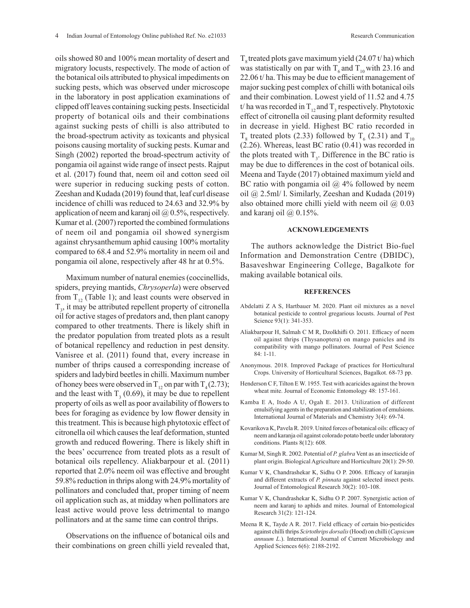oils showed 80 and 100% mean mortality of desert and migratory locusts, respectively. The mode of action of the botanical oils attributed to physical impediments on sucking pests, which was observed under microscope in the laboratory in post application examinations of clipped off leaves containing sucking pests. Insecticidal property of botanical oils and their combinations against sucking pests of chilli is also attributed to the broad-spectrum activity as toxicants and physical poisons causing mortality of sucking pests. Kumar and Singh (2002) reported the broad-spectrum activity of pongamia oil against wide range of insect pests. Rajput et al. (2017) found that, neem oil and cotton seed oil were superior in reducing sucking pests of cotton. Zeeshan and Kudada (2019) found that, leaf curl disease incidence of chilli was reduced to 24.63 and 32.9% by application of neem and karanj oil  $\omega$  0.5%, respectively. Kumar et al. (2007) reported the combined formulations of neem oil and pongamia oil showed synergism against chrysanthemum aphid causing 100% mortality compared to 68.4 and 52.9% mortality in neem oil and pongamia oil alone, respectively after 48 hr at 0.5%.

Maximum number of natural enemies (coccinellids, spiders, preying mantids, *Chrysoperla*) were observed from  $T_{12}$  (Table 1); and least counts were observed in  $T<sub>3</sub>$ , it may be attributed repellent property of citronella oil for active stages of predators and, then plant canopy compared to other treatments. There is likely shift in the predator population from treated plots as a result of botanical repellency and reduction in pest density. Vanisree et al. (2011) found that, every increase in number of thrips caused a corresponding increase of spiders and ladybird beetles in chilli. Maximum number of honey bees were observed in  $T_{12}$  on par with  $T_4 (2.73)$ ; and the least with  $T_3$  (0.69), it may be due to repellent property of oils as well as poor availability of flowers to bees for foraging as evidence by low flower density in this treatment. This is because high phytotoxic effect of citronella oil which causes the leaf deformation, stunted growth and reduced flowering. There is likely shift in the bees' occurrence from treated plots as a result of botanical oils repellency. Aliakbarpour et al. (2011) reported that 2.0% neem oil was effective and brought 59.8% reduction in thrips along with 24.9% mortality of pollinators and concluded that, proper timing of neem oil application such as, at midday when pollinators are least active would prove less detrimental to mango pollinators and at the same time can control thrips.

Observations on the influence of botanical oils and their combinations on green chilli yield revealed that,  $T<sub>s</sub>$  treated plots gave maximum yield (24.07 t/ ha) which was statistically on par with  $T_6$  and  $T_{10}$  with 23.16 and 22.06 t/ ha. This may be due to efficient management of major sucking pest complex of chilli with botanical oils and their combination. Lowest yield of 11.52 and 4.75 t/ ha was recorded in  $T_{12}$  and  $T_3$  respectively. Phytotoxic effect of citronella oil causing plant deformity resulted in decrease in yield. Highest BC ratio recorded in  $T<sub>8</sub>$  treated plots (2.33) followed by  $T<sub>6</sub>$  (2.31) and  $T<sub>10</sub>$ (2.26). Whereas, least BC ratio (0.41) was recorded in the plots treated with  $T_3$ . Difference in the BC ratio is may be due to differences in the cost of botanical oils. Meena and Tayde (2017) obtained maximum yield and BC ratio with pongamia oil  $\omega$  4% followed by neem oil @ 2.5ml/ l. Similarly, Zeeshan and Kudada (2019) also obtained more chilli yield with neem oil  $\omega$  0.03 and karanj oil  $(a)$  0.15%.

#### **ACKNOWLEDGEMENTS**

The authors acknowledge the District Bio-fuel Information and Demonstration Centre (DBIDC), Basaveshwar Engineering College, Bagalkote for making available botanical oils.

#### **REFERENCES**

- Abdelatti Z A S, Hartbauer M. 2020. Plant oil mixtures as a novel botanical pesticide to control gregarious locusts. Journal of Pest Science 93(1): 341-353.
- Aliakbarpour H, Salmah C M R, Dzolkhifli O. 2011. Efficacy of neem oil against thrips (Thysanoptera) on mango panicles and its compatibility with mango pollinators. Journal of Pest Science 84: 1-11.
- Anonymous. 2018. Improved Package of practices for Horticultural Crops. University of Horticultural Sciences, Bagalkot. 68-73 pp.
- Henderson C F, Tilton E W. 1955. Test with acaricides against the brown wheat mite. Journal of Economic Entomology 48: 157-161.
- Kamba E A, Itodo A U, Ogah E. 2013. Utilization of different emulsifying agents in the preparation and stabilization of emulsions. International Journal of Materials and Chemistry 3(4): 69-74.
- Kovarikova K, Pavela R. 2019. United forces of botanical oils: efficacy of neem and karanja oil against colorado potato beetle under laboratory conditions. Plants 8(12): 608.
- Kumar M, Singh R. 2002. Potential of *P. glabra* Vent as an insecticide of plant origin. Biological Agriculture and Horticulture 20(1): 29-50.
- Kumar V K, Chandrashekar K, Sidhu O P. 2006. Efficacy of karanjin and different extracts of *P. pinnata* against selected insect pests. Journal of Entomological Research 30(2): 103-108.
- Kumar V K, Chandrashekar K, Sidhu O P. 2007. Synergistic action of neem and karanj to aphids and mites. Journal of Entomological Research 31(2): 121-124.
- Meena R K, Tayde A R. 2017. Field efficacy of certain bio-pesticides against chilli thrips *Scirtothrips dorsalis* (Hood) on chilli (*Capsicum annuum L*.). International Journal of Current Microbiology and Applied Sciences 6(6): 2188-2192.